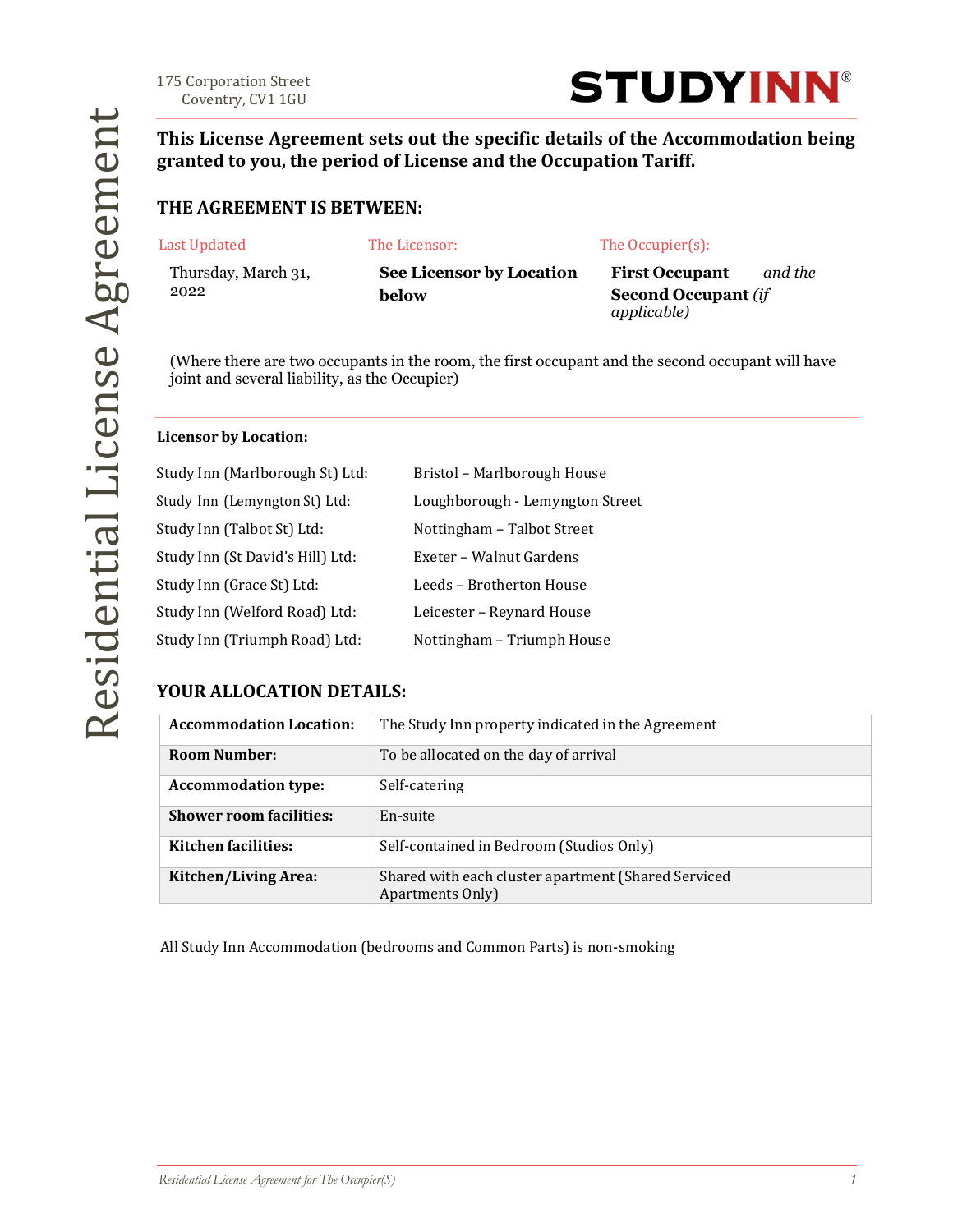Coventry, CV1 1GU



**This License Agreement sets out the specific details of the Accommodation being granted to you, the period of License and the Occupation Tariff.**

#### **THE AGREEMENT IS BETWEEN:**

| Last Updated |  |  |
|--------------|--|--|
|              |  |  |

The Licensor: The Occupier(s):

Thursday, March 31, 2022

**See Licensor by Location below**

**First Occupant** *and the* **Second Occupant** *(if applicable)*

(Where there are two occupants in the room, the first occupant and the second occupant will have joint and several liability, as the Occupier)

#### **Licensor by Location:**

| Study Inn (Marlborough St) Ltd:  | Bristol - Marlborough House     |
|----------------------------------|---------------------------------|
| Study Inn (Lemyngton St) Ltd:    | Loughborough - Lemyngton Street |
| Study Inn (Talbot St) Ltd:       | Nottingham - Talbot Street      |
| Study Inn (St David's Hill) Ltd: | Exeter - Walnut Gardens         |
| Study Inn (Grace St) Ltd:        | Leeds - Brotherton House        |
| Study Inn (Welford Road) Ltd:    | Leicester - Reynard House       |
| Study Inn (Triumph Road) Ltd:    | Nottingham - Triumph House      |

### **YOUR ALLOCATION DETAILS:**

| <b>Accommodation Location:</b> | The Study Inn property indicated in the Agreement                       |
|--------------------------------|-------------------------------------------------------------------------|
| <b>Room Number:</b>            | To be allocated on the day of arrival                                   |
| <b>Accommodation type:</b>     | Self-catering                                                           |
| <b>Shower room facilities:</b> | En-suite                                                                |
| <b>Kitchen facilities:</b>     | Self-contained in Bedroom (Studios Only)                                |
| Kitchen/Living Area:           | Shared with each cluster apartment (Shared Serviced<br>Apartments Only) |

All Study Inn Accommodation (bedrooms and Common Parts) is non-smoking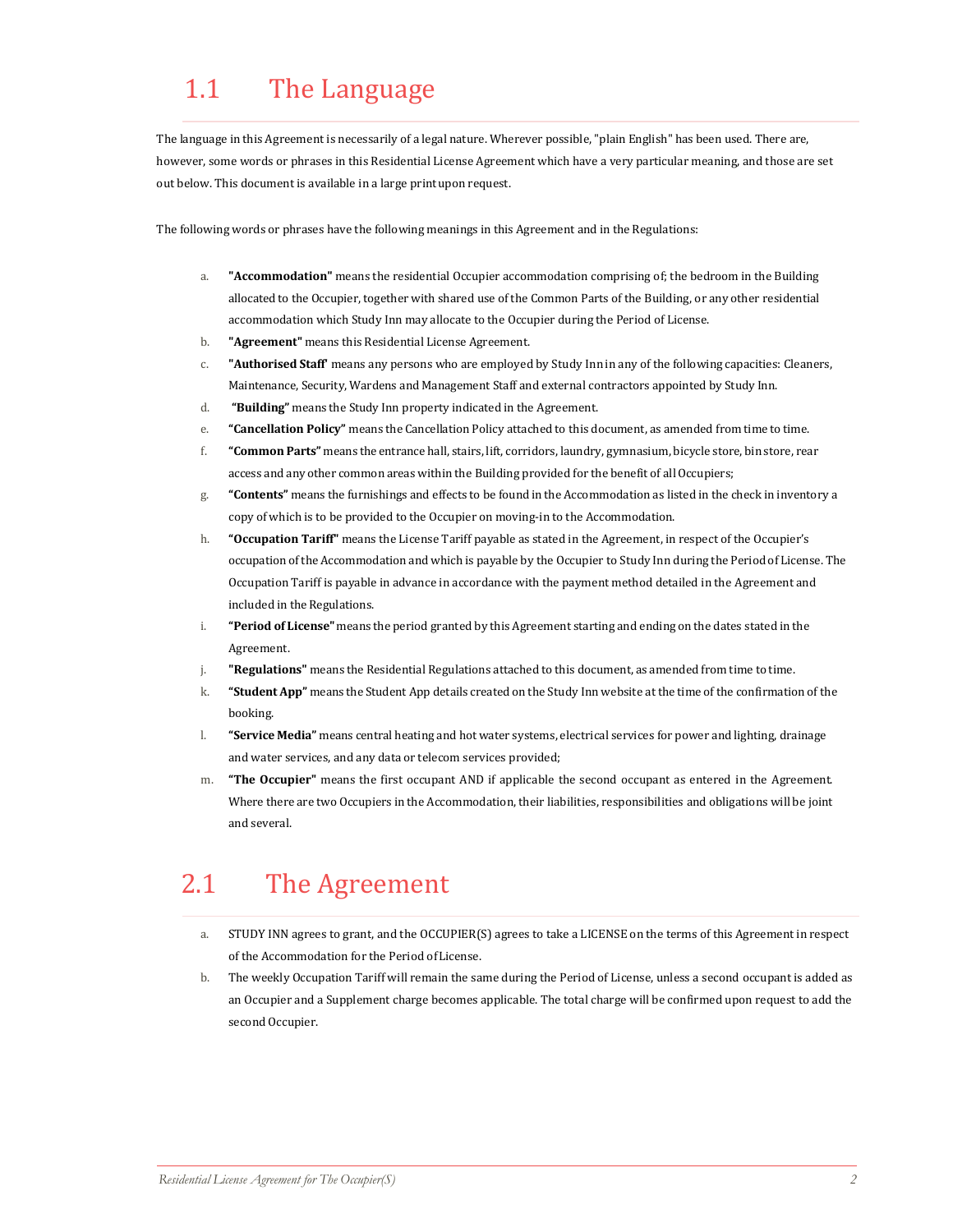## 1.1 The Language

The language in this Agreement is necessarily of a legal nature. Wherever possible, "plain English" has been used. There are, however, some words or phrases in this Residential License Agreement which have a very particular meaning, and those are set out below. This document is available in a large print upon request.

The following words or phrases have the following meanings in this Agreement and in the Regulations:

- a. **"Accommodation"** means the residential Occupier accommodation comprising of; the bedroom in the Building allocated to the Occupier, together with shared use of the Common Parts of the Building, or any other residential accommodation which Study Inn may allocate to the Occupier during the Period of License.
- b. **"Agreement"** means this Residential License Agreement.
- c. **"Authorised Staff'** means any persons who are employed by Study Inn in any of the following capacities: Cleaners, Maintenance, Security, Wardens and Management Staff and external contractors appointed by Study Inn.
- d. **"Building"** means the Study Inn property indicated in the Agreement.
- e. **"Cancellation Policy"** means the Cancellation Policy attached to this document, as amended from time to time.
- f. **"Common Parts"** means the entrance hall, stairs, lift, corridors, laundry, gymnasium, bicycle store, bin store, rear access and any other common areas within the Building provided for the benefit of all Occupiers;
- g. **"Contents"** means the furnishings and effects to be found in the Accommodation as listed in the check in inventory a copy of which is to be provided to the Occupier on moving-in to the Accommodation.
- h. **"Occupation Tariff"** means the License Tariff payable as stated in the Agreement, in respect of the Occupier's occupation of the Accommodation and which is payable by the Occupier to Study Inn during the Period of License. The Occupation Tariff is payable in advance in accordance with the payment method detailed in the Agreement and included in the Regulations.
- i. **"Period of License"** means the period granted by this Agreement starting and ending on the dates stated in the Agreement.
- j. **"Regulations"** means the Residential Regulations attached to this document, as amended from time to time.
- k. **"Student App"** means the Student App details created on the Study Inn website at the time of the confirmation of the booking.
- l. **"Service Media"** means central heating and hot water systems, electrical services for power and lighting, drainage and water services, and any data or telecom services provided;
- m. **"The Occupier"** means the first occupant AND if applicable the second occupant as entered in the Agreement. Where there are two Occupiers in the Accommodation, their liabilities, responsibilities and obligations will be joint and several.

### 2.1 The Agreement

- a. STUDY INN agrees to grant, and the OCCUPIER(S) agrees to take a LICENSE on the terms of this Agreement in respect of the Accommodation for the Period ofLicense.
- b. The weekly Occupation Tariff will remain the same during the Period of License, unless a second occupant is added as an Occupier and a Supplement charge becomes applicable. The total charge will be confirmed upon request to add the second Occupier.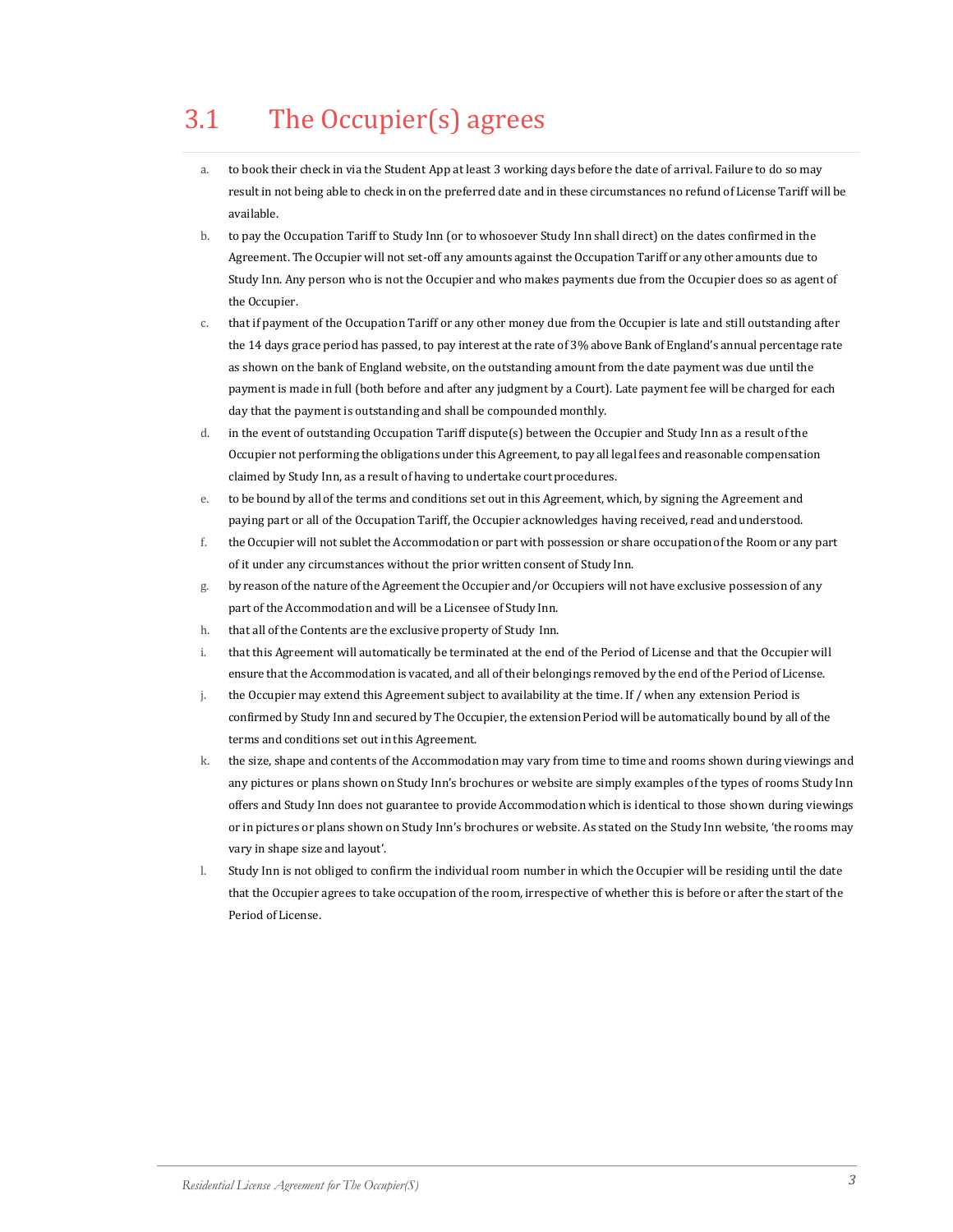# 3.1 The Occupier(s) agrees

- a. to book their check in via the Student App at least 3 working days before the date of arrival. Failure to do so may result in not being able to check in on the preferred date and in these circumstances no refund of License Tariff will be available.
- b. to pay the Occupation Tariff to Study Inn (or to whosoever Study Inn shall direct) on the dates confirmed in the Agreement. The Occupier will not set-off any amounts against the Occupation Tariff or any other amounts due to Study Inn. Any person who is not the Occupier and who makes payments due from the Occupier does so as agent of the Occupier.
- c. that if payment of the Occupation Tariff or any other money due from the Occupier is late and still outstanding after the 14 days grace period has passed, to pay interest at the rate of 3% above Bank of England's annual percentage rate as shown on the bank of England website, on the outstanding amount from the date payment was due until the payment is made in full (both before and after any judgment by a Court). Late payment fee will be charged for each day that the payment is outstanding and shall be compounded monthly.
- d. in the event of outstanding Occupation Tariff dispute(s) between the Occupier and Study Inn as a result of the Occupier not performing the obligations under this Agreement, to pay all legal fees and reasonable compensation claimed by Study Inn, as a result of having to undertake court procedures.
- e. to be bound by all of the terms and conditions set out in this Agreement, which, by signing the Agreement and paying part or all of the Occupation Tariff, the Occupier acknowledges having received, read and understood.
- f. the Occupier will not sublet the Accommodation or part with possession or share occupationof the Room or any part of it under any circumstances without the prior written consent of Study Inn.
- g. by reasonof the nature ofthe Agreement the Occupier and/or Occupiers will not have exclusive possession of any part of the Accommodation and will be a Licensee of Study Inn.
- h. that all of the Contents are the exclusive property of Study Inn.
- i. that this Agreement will automatically be terminated at the end of the Period of License and that the Occupier will ensure that the Accommodation is vacated, and all oftheir belongings removed by the end ofthe Period of License.
- j. the Occupier may extend this Agreement subject to availability at the time. If / when any extension Period is confirmed by Study Inn and secured by The Occupier, the extension Period will be automatically bound by all of the terms and conditions set out in this Agreement.
- k. the size, shape and contents of the Accommodation may vary from time to time and rooms shown during viewings and any pictures or plans shown on Study Inn's brochures or website are simply examples of the types of rooms Study Inn offers and Study Inn does not guarantee to provide Accommodation which is identical to those shown during viewings or in pictures or plans shown on Study Inn's brochures or website. As stated on the Study Inn website, 'the rooms may vary in shape size and layout'.
- l. Study Inn is not obliged to confirm the individual room number in which the Occupier will be residing until the date that the Occupier agrees to take occupation of the room, irrespective of whether this is before or after the start of the Period of License.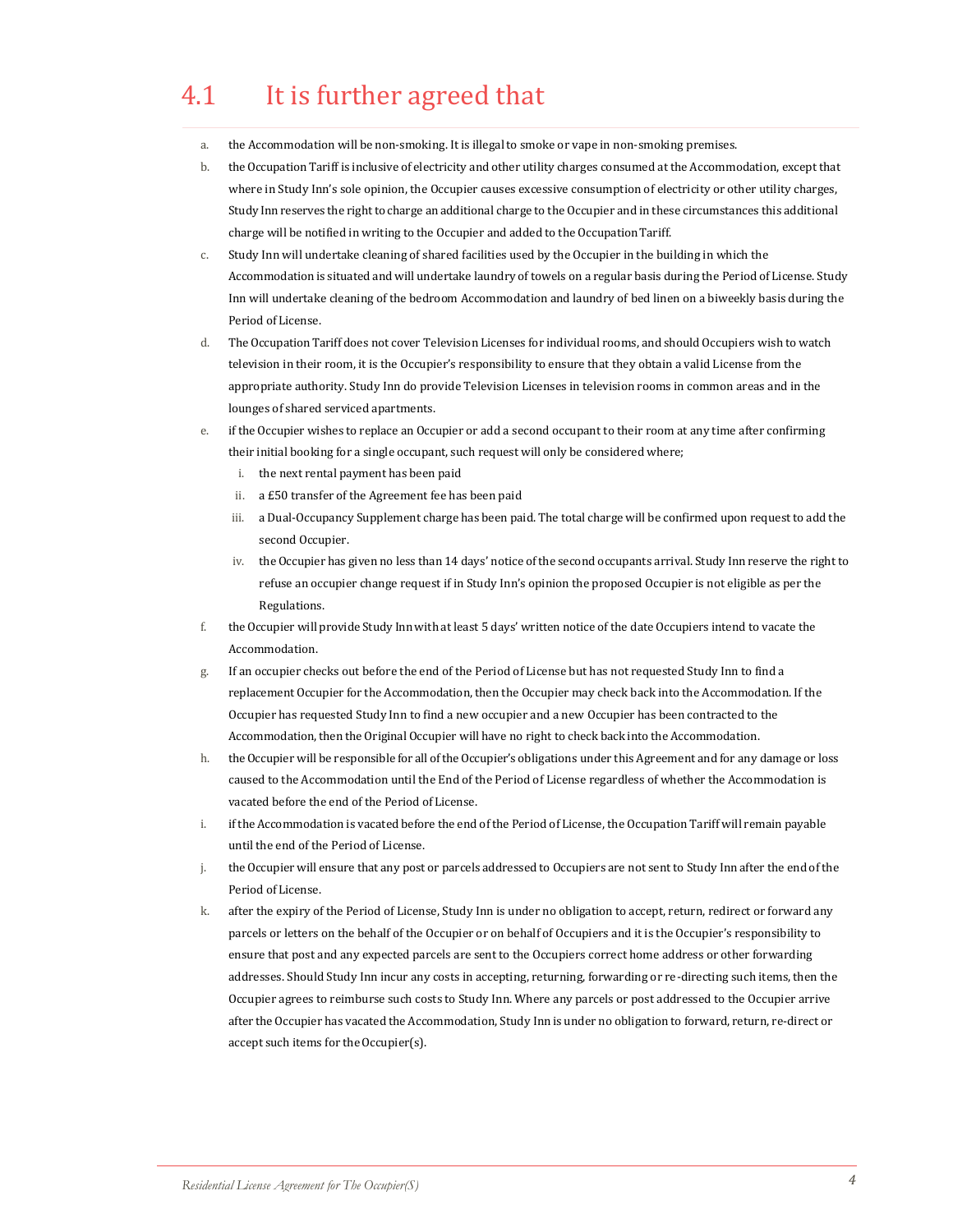### 4.1 It is further agreed that

- a. the Accommodation will be non-smoking. It is illegal to smoke or vape in non-smoking premises.
- b. theOccupation Tariff is inclusive of electricity and other utility charges consumed at the Accommodation, except that where in Study Inn's sole opinion, the Occupier causes excessive consumption of electricity or other utility charges, Study Inn reserves the right to charge anadditional charge to the Occupier and in these circumstances this additional charge will be notified in writing to the Occupier and added to the OccupationTariff.
- c. Study Inn will undertake cleaning of shared facilities used by the Occupier in the building in which the Accommodation is situated and will undertake laundry of towels on a regular basis during the Period of License. Study Inn will undertake cleaning of the bedroom Accommodation and laundry of bed linen on a biweekly basis during the Period ofLicense.
- d. The Occupation Tariff does not cover Television Licenses for individual rooms, and should Occupiers wish to watch television in their room, it is the Occupier's responsibility to ensure that they obtain a valid License from the appropriate authority. Study Inn do provide Television Licenses in television rooms in common areas and in the lounges of shared serviced apartments.
- if the Occupier wishes to replace an Occupier or add a second occupant to their room at any time after confirming their initial booking for a single occupant, such request will only be considered where;
	- i. the next rental payment has been paid
	- ii. a £50 transfer of the Agreement fee has been paid
	- iii. a Dual-Occupancy Supplement charge has been paid. The total charge will be confirmed upon request to add the second Occupier.
	- iv. the Occupier has given no less than 14 days' notice of the second occupants arrival. Study Inn reserve the right to refuse an occupier change request if in Study Inn's opinion the proposed Occupier is not eligible as per the Regulations.
- f. the Occupier will provide Study Innwith at least 5 days' written notice of the date Occupiers intend to vacate the Accommodation.
- g. If an occupier checks out before the end of the Period of License but has not requested Study Inn to find a replacement Occupier for the Accommodation, then the Occupier may check back into the Accommodation. If the Occupier has requested Study Inn to find a new occupier and a new Occupier has been contracted to the Accommodation, then the Original Occupier will have no right to check back into the Accommodation.
- h. the Occupier will be responsible for all of the Occupier's obligations under this Agreement and for any damage or loss caused to the Accommodation until the End of the Period of License regardless of whether the Accommodation is vacated before the end of the Period ofLicense.
- i. if the Accommodation is vacated before the end of the Period of License, the Occupation Tariff will remain payable until the end of the Period of License.
- j. the Occupier will ensure that any post or parcels addressed to Occupiers are not sent to Study Inn after the end of the Period of License.
- k. after the expiry of the Period of License, Study Inn is under no obligation to accept, return, redirect or forward any parcels or letters on the behalf of the Occupier or on behalf of Occupiers and it is the Occupier's responsibility to ensure that post and any expected parcels are sent to the Occupiers correct home address or other forwarding addresses. Should Study Inn incur any costs in accepting, returning, forwarding or re-directing such items, then the Occupier agrees to reimburse such costs to Study Inn. Where any parcels or post addressed to the Occupier arrive after the Occupier has vacated the Accommodation, Study Inn is under no obligation to forward, return, re-direct or accept such items for the Occupier(s).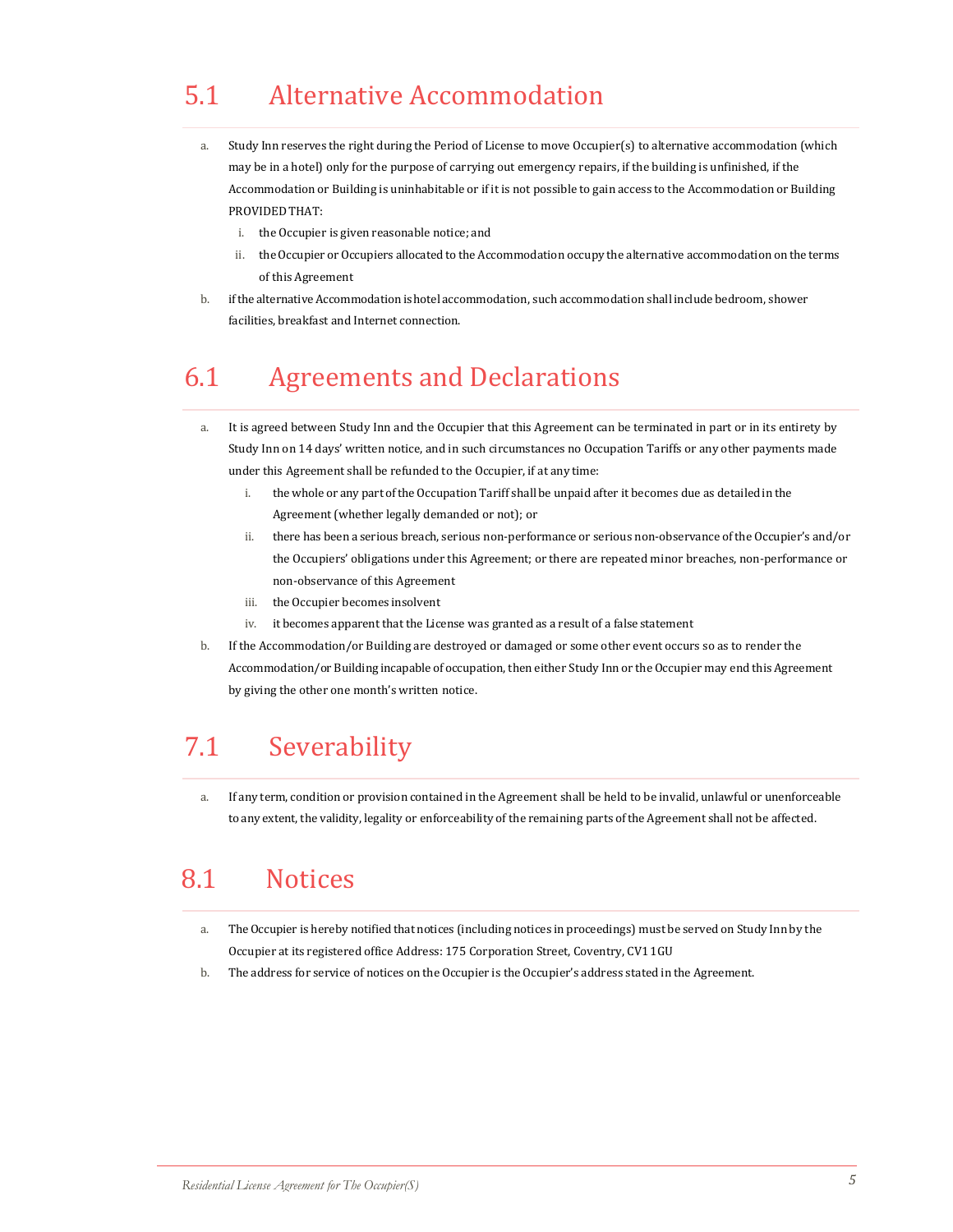# 5.1 Alternative Accommodation

- a. Study Inn reserves the right during the Period of License to move Occupier(s) to alternative accommodation (which may be in a hotel) only for the purpose of carrying out emergency repairs, if the building is unfinished, if the Accommodation or Building is uninhabitable or if it is not possible to gain access to the Accommodation or Building PROVIDED THAT:
	- i. the Occupier is given reasonable notice; and
	- ii. the Occupier or Occupiers allocated to the Accommodation occupy the alternative accommodation on the terms of this Agreement
- b. ifthe alternative Accommodationishotel accommodation, such accommodation shall include bedroom, shower facilities, breakfast and Internet connection.

### 6.1 Agreements and Declarations

- a. It is agreed between Study Inn and the Occupier that this Agreement can be terminated in part or in its entirety by Study Inn on 14 days' written notice, and in such circumstances no Occupation Tariffs or any other payments made under this Agreement shall be refunded to the Occupier, if at any time:
	- i. the whole or any part ofthe Occupation Tariff shallbe unpaid after it becomes due as detailedin the Agreement(whether legally demanded or not); or
	- ii. there has been a serious breach, serious non-performance or serious non-observance ofthe Occupier's and/or the Occupiers' obligations under this Agreement; or there are repeated minor breaches, non-performance or non-observance of this Agreement
	- iii. the Occupier becomes insolvent
	- iv. it becomes apparent that the License was granted as a result of a false statement
- b. If the Accommodation/or Building are destroyed or damaged or some other event occurs so as to render the Accommodation/or Building incapable of occupation, then either Study Inn or the Occupier may end this Agreement by giving the other one month's written notice.

### 7.1 Severability

a. If any term, condition or provision contained in the Agreement shall be held to be invalid, unlawful or unenforceable to any extent, the validity, legality or enforceability of the remaining parts ofthe Agreement shall not be affected.

### 8.1 Notices

- a. TheOccupier is hereby notified that notices (including notices in proceedings) must be served on Study Inn by the Occupier at its registered office Address: 175 Corporation Street, Coventry, CV11GU
- b. The address for service of notices on theOccupier is the Occupier's address stated in the Agreement.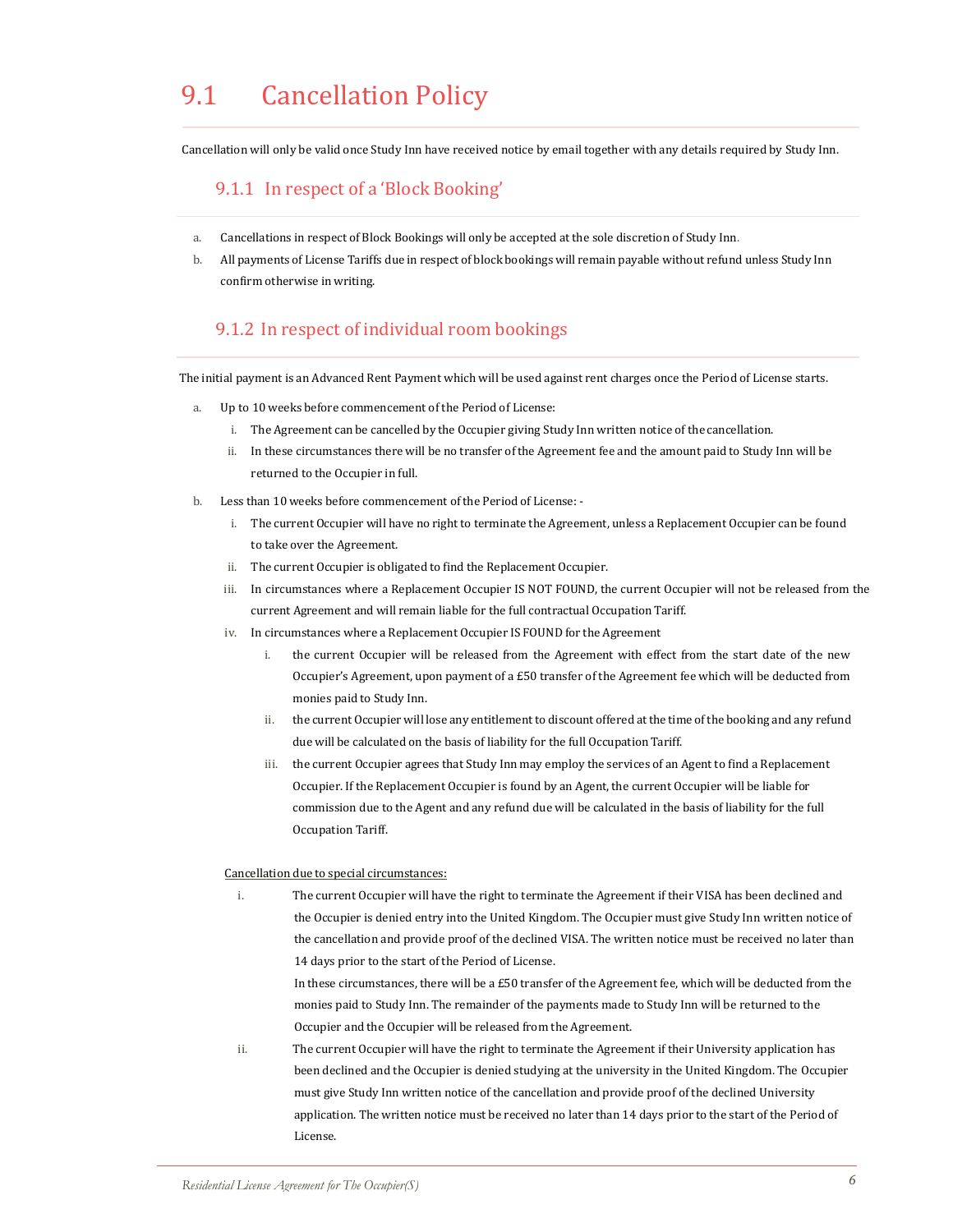## 9.1 Cancellation Policy

Cancellation will only be valid once Study Inn have received notice by email together with any details required by Study Inn.

#### 9.1.1 In respect of a 'Block Booking'

- a. Cancellations in respect of Block Bookings will only be accepted at the sole discretion of Study Inn.
- b. All payments of License Tariffs due in respect of block bookings will remain payable without refund unless Study Inn confirm otherwise in writing.

#### 9.1.2 In respect of individual room bookings

The initial payment is an Advanced Rent Payment which will be used against rent charges once the Period of License starts.

- a. Up to 10 weeks before commencement of the Period of License:
	- i. The Agreement can be cancelled by the Occupier giving Study Inn written notice of the cancellation.
	- ii. In these circumstances there will be no transfer of the Agreement fee and the amount paid to Study Inn will be returned to the Occupier in full.
- b. Less than 10 weeks before commencement of the Period of License:
	- i. The current Occupier will have no right to terminate the Agreement, unless a Replacement Occupier can be found to take over the Agreement.
	- ii. The current Occupier is obligated to find the Replacement Occupier.
	- iii. In circumstances where a Replacement Occupier IS NOT FOUND, the current Occupier will not be released from the current Agreement and will remain liable for the full contractual Occupation Tariff.
	- iv. In circumstances where a Replacement Occupier IS FOUND for the Agreement
		- i. the current Occupier will be released from the Agreement with effect from the start date of the new Occupier's Agreement, upon payment of a £50 transfer of the Agreement fee which will be deducted from monies paid to Study Inn.
		- ii. the current Occupier will lose any entitlement to discount offered at the time of the booking and any refund due will be calculated on the basis of liability for the full OccupationTariff.
		- iii. the current Occupier agrees that Study Inn may employ the services of an Agent to find a Replacement Occupier. If the Replacement Occupier is found by an Agent, the current Occupier will be liable for commission due to the Agent and any refund due will be calculated in the basis of liability for the full Occupation Tariff.

#### Cancellation due to special circumstances:

i. The current Occupier will have the right to terminate the Agreement if their VISA has been declined and the Occupier is denied entry into the United Kingdom. The Occupier must give Study Inn written notice of the cancellation and provide proof of the declined VISA. The written notice must be received no later than 14 days prior to the start of the Period of License.

In these circumstances, there will be a £50 transfer of the Agreement fee, which will be deducted from the monies paid to Study Inn. The remainder of the payments made to Study Inn will be returned to the Occupier and the Occupier will be released from the Agreement.

ii. The current Occupier will have the right to terminate the Agreement if their University application has been declined and the Occupier is denied studying at the university in the United Kingdom. The Occupier must give Study Inn written notice of the cancellation and provide proof of the declined University application. The written notice must be received no later than 14 days prior to the start of the Period of License.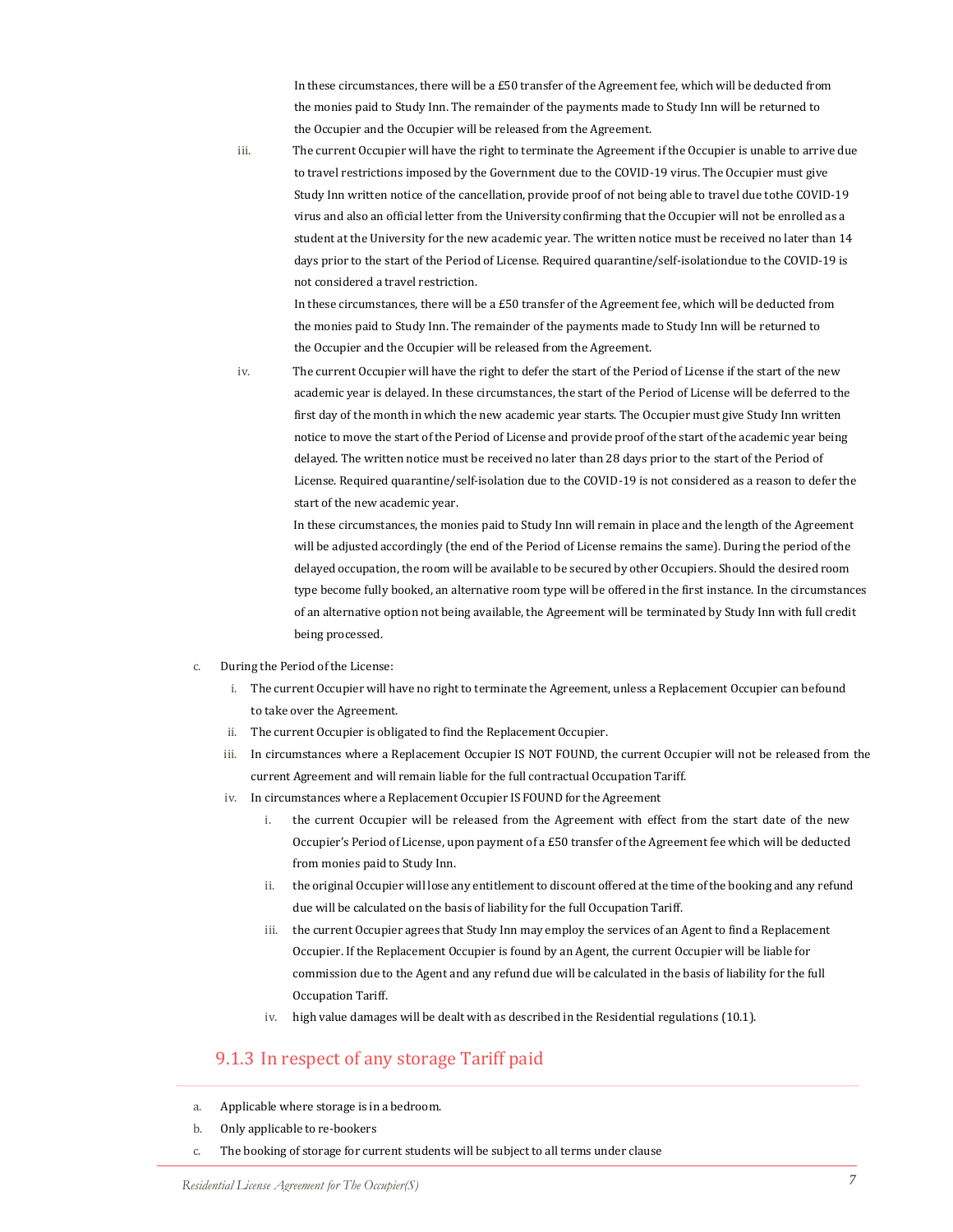In these circumstances, there will be a £50 transfer of the Agreement fee, which will be deducted from the monies paid to Study Inn. The remainder of the payments made to Study Inn will be returned to the Occupier and the Occupier will be released from the Agreement.

iii. The current Occupier will have the right to terminate the Agreement if the Occupier is unable to arrive due to travel restrictions imposed by the Government due to the COVID-19 virus. The Occupier must give Study Inn written notice of the cancellation, provide proof of not being able to travel due tothe COVID-19 virus and also an official letter from the University confirming that the Occupier will not be enrolled as a student at the University for the new academic year. The written notice must be received no later than 14 days prior to the start of the Period of License. Required quarantine/self-isolationdue to the COVID-19 is not considered a travel restriction.

In these circumstances, there will be a £50 transfer of the Agreement fee, which will be deducted from the monies paid to Study Inn. The remainder of the payments made to Study Inn will be returned to the Occupier and the Occupier will be released from the Agreement.

iv. The current Occupier will have the right to defer the start of the Period of License if the start of the new academic year is delayed. In these circumstances, the start of the Period of License will be deferred to the first day of the month in which the new academic year starts. The Occupier must give Study Inn written notice to move the start of the Period of License and provide proof of the start of the academic year being delayed. The written notice must be received no later than 28 days prior to the start of the Period of License. Required quarantine/self-isolation due to the COVID-19 is not considered as a reason to defer the start of the new academic year.

 In these circumstances, the monies paid to Study Inn will remain in place and the length of the Agreement will be adjusted accordingly (the end of the Period of License remains the same). During the period of the delayed occupation, the room will be available to be secured by other Occupiers. Should the desired room type become fully booked, an alternative room type will be offered in the first instance. In the circumstances of an alternative option not being available, the Agreement will be terminated by Study Inn with full credit being processed.

- c. During the Period of the License:
	- i. The current Occupier will have no right to terminate the Agreement, unless a Replacement Occupier can befound to take over the Agreement.
	- ii. The current Occupier is obligated to find the Replacement Occupier.
	- iii. In circumstances where a Replacement Occupier IS NOT FOUND, the current Occupier will not be released from the current Agreement and will remain liable for the full contractual Occupation Tariff.
	- iv. In circumstances where a Replacement Occupier IS FOUND for the Agreement
		- i. the current Occupier will be released from the Agreement with effect from the start date of the new Occupier's Period of License, upon payment of a £50 transfer of the Agreement fee which will be deducted from monies paid to Study Inn.
		- ii. the original Occupier will lose any entitlement to discount offered at the time of the booking and any refund due will be calculated on the basis of liability for the full OccupationTariff.
		- iii. the current Occupier agrees that Study Inn may employ the services of an Agent to find a Replacement Occupier. If the Replacement Occupier is found by an Agent, the current Occupier will be liable for commission due to the Agent and any refund due will be calculated in the basis of liability for the full Occupation Tariff.
		- iv. high value damages will be dealt with as described in the Residential regulations (10.1).

#### 9.1.3 In respect of any storage Tariff paid

- a. Applicable where storage is in a bedroom.
- b. Only applicable to re-bookers
- c. The booking of storage for current students will be subject to all terms under clause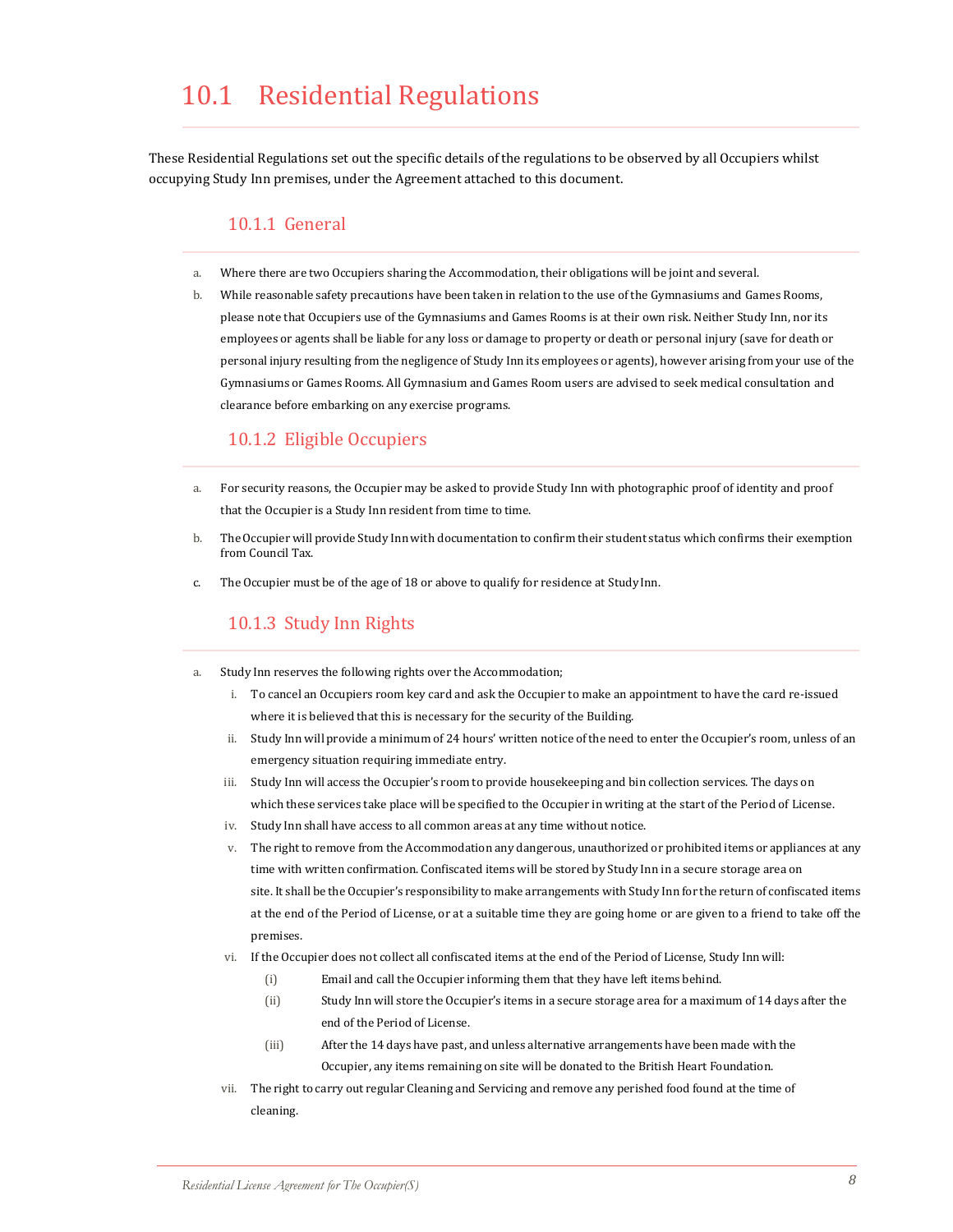### 10.1 Residential Regulations

These Residential Regulations set out the specific details of the regulations to be observed by all Occupiers whilst occupying Study Inn premises, under the Agreement attached to this document.

#### 10.1.1 General

- a. Where there are two Occupiers sharing the Accommodation, their obligations will be joint and several.
- b. While reasonable safety precautions have been taken in relation to the use of the Gymnasiums and Games Rooms, please note that Occupiers use of the Gymnasiums and Games Rooms is at their own risk. Neither Study Inn, nor its employees or agents shall be liable for any loss or damage to property or death or personal injury (save for death or personal injury resulting from the negligence of Study Inn its employees or agents), however arising from your use of the Gymnasiums or Games Rooms. All Gymnasium and Games Room users are advised to seek medical consultation and clearance before embarking on any exercise programs.

#### 10.1.2 Eligible Occupiers

- a. For security reasons, the Occupier may be asked to provide Study Inn with photographic proof of identity and proof that the Occupier is a Study Inn resident from time to time.
- b. TheOccupier will provide Study Innwith documentation to confirm their student status which confirms their exemption from Council Tax.
- c. The Occupier must be of the age of 18 or above to qualify for residence at StudyInn.

#### 10.1.3 Study Inn Rights

- a. Study Inn reserves the following rights over the Accommodation;
	- i. To cancel an Occupiers room key card and ask the Occupier to make an appointment to have the card re-issued where it is believed that this is necessary for the security of the Building.
	- ii. Study Inn will provide a minimum of 24 hours' written notice of the need to enter the Occupier's room, unless of an emergency situation requiring immediate entry.
	- iii. Study Inn will access the Occupier's room to provide housekeeping and bin collection services. The days on which these services take place will be specified to the Occupier in writing at the start of the Period of License.
	- iv. Study Inn shall have access to all common areas at any time without notice.
	- v. The right to remove from the Accommodation any dangerous, unauthorized or prohibited items or appliances at any time with written confirmation. Confiscated items will be stored by Study Inn in a secure storage area on site. It shall be the Occupier's responsibility to make arrangements with Study Inn for the return of confiscated items at the end of the Period of License, or at a suitable time they are going home or are given to a friend to take off the premises.
	- vi. If the Occupier does not collect all confiscated items at the end of the Period of License, Study Inn will:
		- (i) Email and call the Occupier informing them that they have left items behind.
		- (ii) Study Inn will store the Occupier's items in a secure storage area for a maximum of 14 days after the end of the Period of License.
		- (iii) After the 14 days have past, and unless alternative arrangements have been made with the Occupier, any items remaining on site will be donated to the British Heart Foundation.
	- vii. The right to carry out regular Cleaning and Servicing and remove any perished food found at the time of cleaning.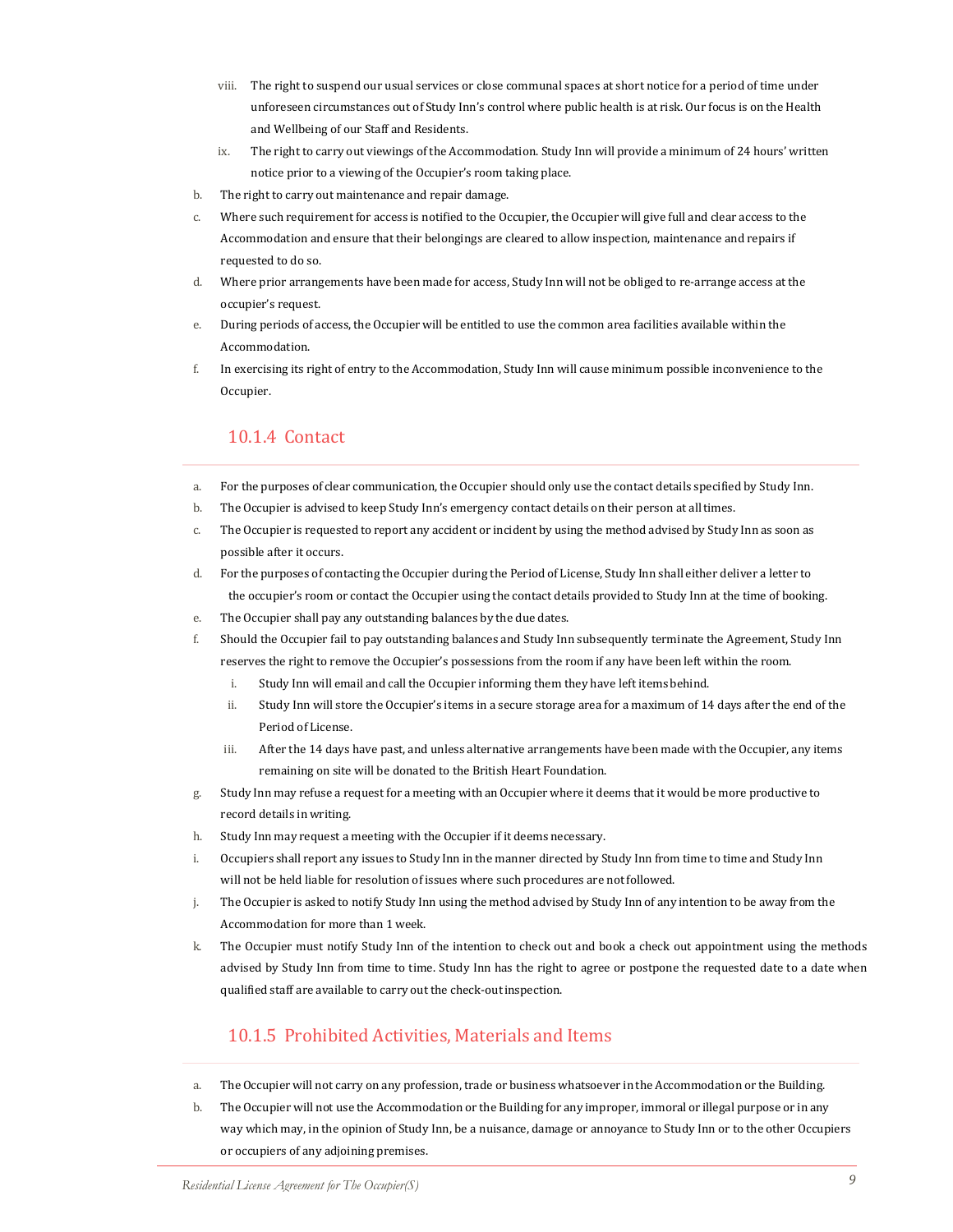- viii. The right to suspend our usual services or close communal spaces at short notice for a period of time under unforeseen circumstances out of Study Inn's control where public health is at risk. Our focus is on the Health and Wellbeing of our Staff and Residents.
- ix. The right to carry out viewings of the Accommodation. Study Inn will provide a minimum of 24 hours' written notice prior to a viewing of the Occupier's room taking place.
- b. The right to carry out maintenance and repair damage.
- c. Where such requirement for access is notified to the Occupier, the Occupier will give full and clear access to the Accommodation and ensure that their belongings are cleared to allow inspection, maintenance and repairs if requested to do so.
- d. Where prior arrangements have been made for access, Study Inn will not be obliged to re-arrange access at the occupier's request.
- e. During periods of access, the Occupier will be entitled to use the common area facilities available within the Accommodation.
- f. In exercising its right of entry to the Accommodation, Study Inn will cause minimum possible inconvenience to the Occupier.

#### 10.1.4 Contact

- a. For the purposes of clear communication, the Occupier should only use the contact details specified by Study Inn.
- b. The Occupier is advised to keep Study Inn's emergency contact details on their person at alltimes.
- c. The Occupier is requested to report any accident or incident by using the method advised by Study Inn as soon as possible after it occurs.
- d. For the purposes of contacting the Occupier during the Period of License, Study Inn shall either deliver a letter to the occupier's room or contact the Occupier using the contact details provided to Study Inn at the time of booking.
- e. The Occupier shall pay any outstanding balances by the due dates.
- f. Should the Occupier fail to pay outstanding balances and Study Inn subsequently terminate the Agreement, Study Inn reserves the right to remove the Occupier's possessions from the room if any have been left within the room.
	- i. Study Inn will email and call the Occupier informing them they have left items behind.
	- ii. Study Inn will store the Occupier's items in a secure storage area for a maximum of 14 days after the end of the Period of License.
	- iii. After the 14 days have past, and unless alternative arrangements have been made with the Occupier, any items remaining on site will be donated to the British Heart Foundation.
- g. Study Inn may refuse a request for a meeting with an Occupier where it deems that it would be more productive to record details in writing.
- h. Study Inn may request a meeting with the Occupier if it deems necessary.
- i. Occupiers shall report any issues to Study Inn in the manner directed by Study Inn from time to time and Study Inn will not be held liable for resolution of issues where such procedures are notfollowed.
- j. The Occupier is asked to notify Study Inn using the method advised by Study Inn of any intention to be away from the Accommodation for more than 1 week.
- k. The Occupier must notify Study Inn of the intention to check out and book a check out appointment using the methods advised by Study Inn from time to time. Study Inn has the right to agree or postpone the requested date to a date when qualified staff are available to carry out the check-outinspection.

### 10.1.5 Prohibited Activities, Materials and Items

- a. The Occupier will not carry on any profession, trade or business whatsoever in the Accommodation or the Building.
- b. The Occupier will not use the Accommodation or the Building for any improper, immoral or illegal purpose or in any way which may, in the opinion of Study Inn, be a nuisance, damage or annoyance to Study Inn or to the other Occupiers or occupiers of any adjoining premises.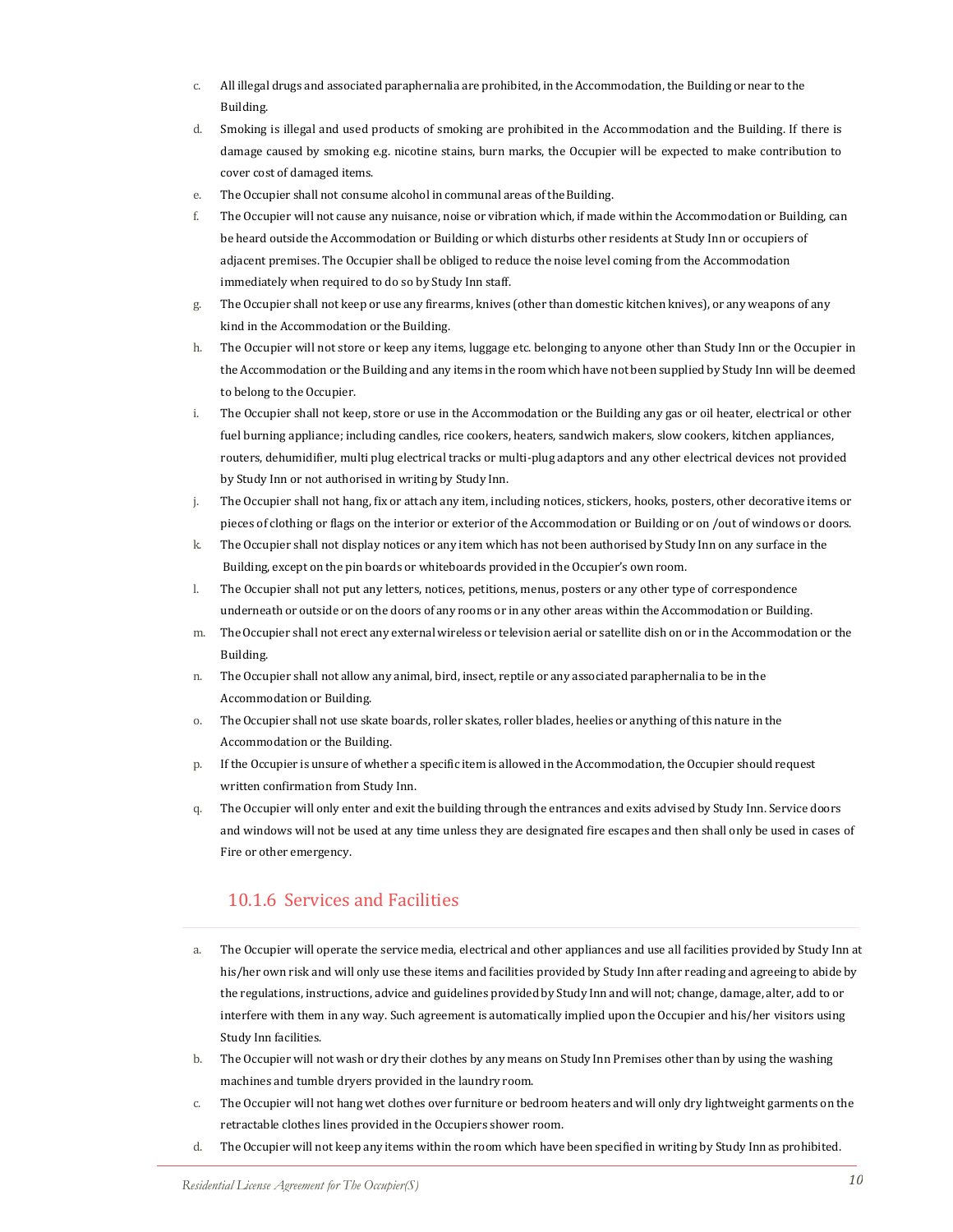- c. All illegal drugs and associated paraphernalia are prohibited, in the Accommodation, the Building or near to the Building.
- d. Smoking is illegal and used products of smoking are prohibited in the Accommodation and the Building. If there is damage caused by smoking e.g. nicotine stains, burn marks, the Occupier will be expected to make contribution to cover cost of damaged items.
- e. The Occupier shall not consume alcohol in communal areas of the Building.
- f. The Occupier will not cause any nuisance, noise or vibration which, if made within the Accommodation or Building, can be heard outside the Accommodation or Building or which disturbs other residents at Study Inn or occupiers of adjacent premises. The Occupier shall be obliged to reduce the noise level coming from the Accommodation immediately when required to do so by Study Inn staff.
- g. The Occupier shall not keep or use any firearms, knives (other than domestic kitchen knives), or any weapons of any kind in the Accommodation or the Building.
- h. The Occupier will not store or keep any items, luggage etc. belonging to anyone other than Study Inn or the Occupier in the Accommodation or the Building and any items in the room which have not been supplied by Study Inn will be deemed to belong to the Occupier.
- i. The Occupier shall not keep, store or use in the Accommodation or the Building any gas or oil heater, electrical or other fuel burning appliance; including candles, rice cookers, heaters, sandwich makers, slow cookers, kitchen appliances, routers, dehumidifier, multi plug electrical tracks or multi-plug adaptors and any other electrical devices not provided by Study Inn or not authorised in writing by Study Inn.
- j. The Occupier shall not hang, fix or attach any item, including notices, stickers, hooks, posters, other decorative items or pieces of clothing or flags on the interior or exterior of the Accommodation or Building or on /out of windows or doors.
- k. The Occupier shall not display notices or any item which has not been authorised by Study Inn on any surface in the Building, except on the pin boards or whiteboards provided in the Occupier's own room.
- l. The Occupier shall not put any letters, notices, petitions, menus, posters or any other type of correspondence underneath or outside or on the doors of any rooms or in any other areas within the Accommodation or Building.
- m. TheOccupier shall not erect any external wireless or television aerial or satellite dish on or in the Accommodation or the Building.
- n. The Occupier shall not allow any animal, bird, insect, reptile or any associated paraphernalia to be in the Accommodation or Building.
- o. The Occupier shall not use skate boards, roller skates, roller blades, heelies or anything of this nature in the Accommodation or the Building.
- p. If the Occupier is unsure of whether a specific item is allowed in the Accommodation, the Occupier should request written confirmation from Study Inn.
- q. The Occupier will only enter and exit the building through the entrances and exits advised by Study Inn. Service doors and windows will not be used at any time unless they are designated fire escapes and then shall only be used in cases of Fire or other emergency.

#### 10.1.6 Services and Facilities

- a. The Occupier will operate the service media, electrical and other appliances and use all facilities provided by Study Inn at his/her own risk and will only use these items and facilities provided by Study Inn after reading and agreeing to abide by the regulations, instructions, advice and guidelines provided by Study Inn and will not; change, damage, alter, add to or interfere with them in any way. Such agreement is automatically implied upon the Occupier and his/her visitors using Study Inn facilities.
- b. The Occupier will not wash or dry their clothes by any means on Study Inn Premises other than by using the washing machines and tumble dryers provided in the laundry room.
- c. The Occupier will not hang wet clothes over furniture or bedroom heaters and will only dry lightweight garments on the retractable clothes lines provided in the Occupiers shower room.
- d. The Occupier will not keep any items within the room which have been specified in writing by Study Inn as prohibited.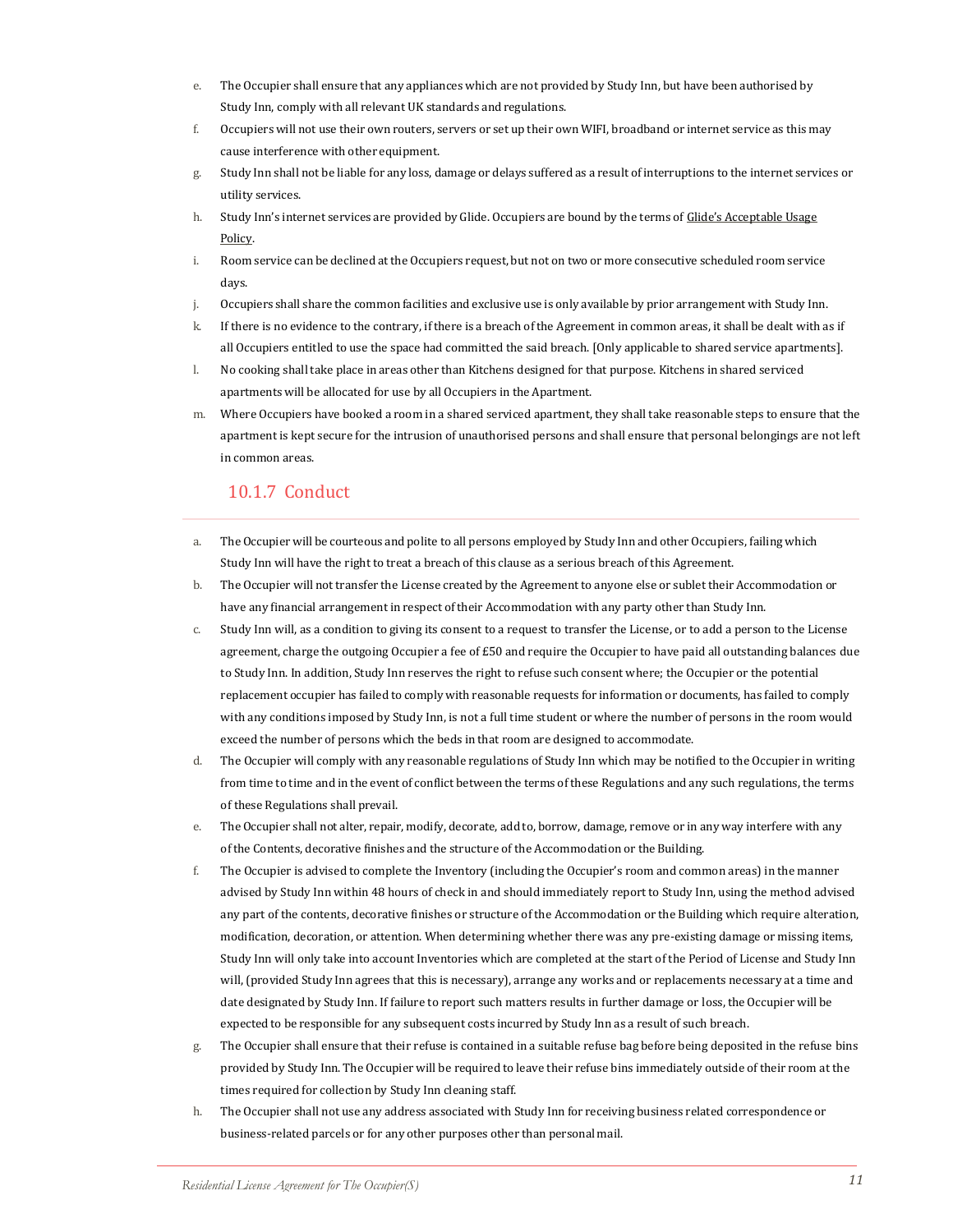- e. The Occupier shall ensure that any appliances which are not provided by Study Inn, but have been authorised by Study Inn, comply with all relevant UK standards andregulations.
- f. Occupiers will not use their own routers, servers or set up their own WIFI, broadband or internet service as this may cause interference with other equipment.
- g. Study Inn shall not be liable for any loss, damage or delays suffered as a result of interruptions to the internet services or utility services.
- h. Study Inn's internet services are provided by Glide. Occupiers are bound by the terms of Glide's [Acceptable](https://glide.co.uk/policies/acceptableusage/) Usage [Policy.](https://glide.co.uk/policies/acceptableusage/)
- i. Room service can be declined at the Occupiers request, but not on two or more consecutive scheduled room service days.
- j. Occupiers shall share the common facilities and exclusive use is only available by prior arrangement with Study Inn.
- k. If there is no evidence to the contrary, if there is a breach of the Agreement in common areas, it shall be dealt with as if all Occupiers entitled to use the space had committed the said breach. [Only applicable to shared service apartments].
- l. No cooking shall take place in areas other than Kitchens designed for that purpose. Kitchens in shared serviced apartments will be allocated for use by all Occupiers in the Apartment.
- m. Where Occupiers have booked a room in a shared serviced apartment, they shall take reasonable steps to ensure that the apartment is kept secure for the intrusion of unauthorised persons and shall ensure that personal belongings are not left in common areas.

#### 10.1.7 Conduct

- a. The Occupier will be courteous and polite to all persons employed by Study Inn and other Occupiers, failing which Study Inn will have the right to treat a breach of this clause as a serious breach of this Agreement.
- b. The Occupier will not transfer the License created by the Agreement to anyone else or sublet their Accommodation or have any financial arrangement in respect of their Accommodation with any party other than Study Inn.
- c. Study Inn will, as a condition to giving its consent to a request to transfer the License, or to add a person to the License agreement, charge the outgoing Occupier a fee of £50 and require the Occupier to have paid all outstanding balances due to Study Inn. In addition, Study Inn reserves the right to refuse such consent where; the Occupier or the potential replacement occupier has failed to comply with reasonable requests for information or documents, has failed to comply with any conditions imposed by Study Inn, is not a full time student or where the number of persons in the room would exceed the number of persons which the beds in that room are designed to accommodate.
- d. The Occupier will comply with any reasonable regulations of Study Inn which may be notified to the Occupier in writing from time to time and in the event of conflict between the terms of these Regulations and any such regulations, the terms of these Regulations shall prevail.
- e. The Occupier shall not alter, repair, modify, decorate, add to, borrow, damage, remove or in any way interfere with any of the Contents, decorative finishes and the structure of the Accommodation or the Building.
- f. The Occupier is advised to complete the Inventory (including the Occupier's room and common areas) in the manner advised by Study Inn within 48 hours of check in and should immediately report to Study Inn, using the method advised any part of the contents, decorative finishes or structure of the Accommodation or the Building which require alteration, modification, decoration, or attention. When determining whether there was any pre-existing damage or missing items, Study Inn will only take into account Inventories which are completed at the start of the Period of License and Study Inn will, (provided Study Inn agrees that this is necessary), arrange any works and or replacements necessary at a time and date designated by Study Inn. If failure to report such matters results in further damage or loss, the Occupier will be expected to be responsible for any subsequent costs incurred by Study Inn as a result of such breach.
- g. The Occupier shall ensure that their refuse is contained in a suitable refuse bag before being deposited in the refuse bins provided by Study Inn. The Occupier will be required to leave their refuse bins immediately outside of their room at the times required for collection by Study Inn cleaning staff.
- h. The Occupier shall not use any address associated with Study Inn for receiving business related correspondence or business-related parcels or for any other purposes other than personalmail.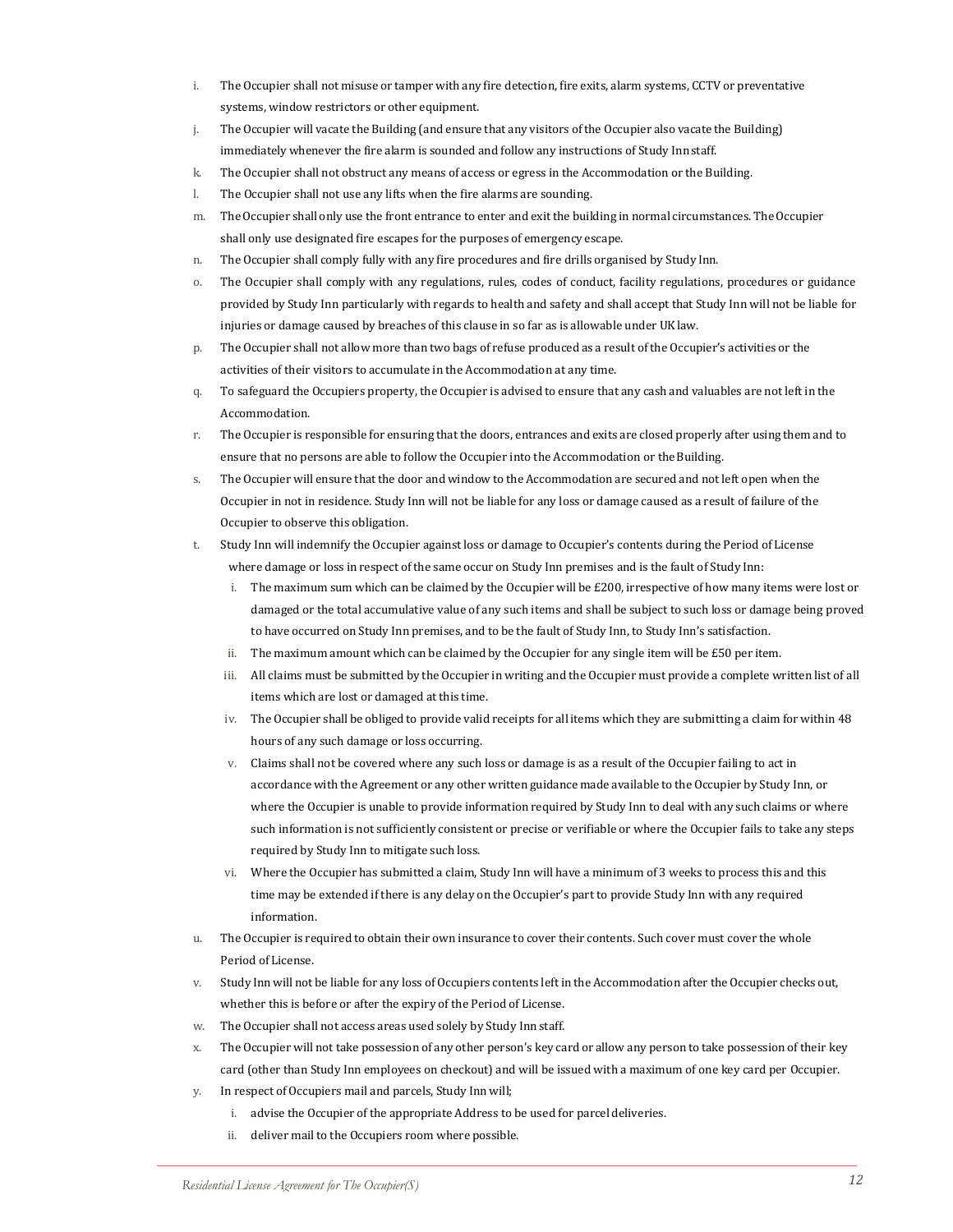- i. The Occupier shall not misuse or tamper with any fire detection, fire exits, alarm systems, CCTV or preventative systems, window restrictors or other equipment.
- j. The Occupier will vacate the Building (and ensure that any visitors of the Occupier also vacate the Building) immediately whenever the fire alarm is sounded and follow any instructions of Study Innstaff.
- k. The Occupier shall not obstruct any means of access or egress in the Accommodation or the Building.
- l. The Occupier shall not use any lifts when the fire alarms are sounding.
- m. The Occupier shall only use the front entrance to enter and exit the building in normal circumstances. The Occupier shall only use designated fire escapes for the purposes of emergency escape.
- n. The Occupier shall comply fully with any fire procedures and fire drills organised by Study Inn.
- o. The Occupier shall comply with any regulations, rules, codes of conduct, facility regulations, procedures or guidance provided by Study Inn particularly with regards to health and safety and shall accept that Study Inn will not be liable for injuries or damage caused by breaches of this clause in so far as is allowable under UKlaw.
- p. The Occupier shall not allow more than two bags of refuse produced as a result of the Occupier's activities or the activities of their visitors to accumulate in the Accommodation at any time.
- q. To safeguard the Occupiers property, the Occupier is advised to ensure that any cash and valuables are not left in the Accommodation.
- r. The Occupier is responsible for ensuring that the doors, entrances and exits are closed properly after using them and to ensure that no persons are able to follow the Occupier into the Accommodation or theBuilding.
- s. The Occupier will ensure that the door and window to the Accommodation are secured and not left open when the Occupier in not in residence. Study Inn will not be liable for any loss or damage caused as a result of failure of the Occupier to observe this obligation.
- t. Study Inn will indemnify the Occupier against loss or damage to Occupier's contents during the Period of License where damage or loss in respect of the same occur on Study Inn premises and is the fault of Study Inn:
	- i. The maximum sum which can be claimed by the Occupier will be £200, irrespective of how many items were lost or damaged or the total accumulative value of any such items and shall be subject to such loss or damage being proved to have occurred on Study Inn premises, and to be the fault of Study Inn, to Study Inn's satisfaction.
	- ii. The maximum amount which can be claimed by the Occupier for any single item will be £50 per item.
	- iii. All claims must be submitted by the Occupier in writing and the Occupier must provide a complete written list of all items which are lost or damaged at this time.
	- iv. The Occupier shall be obliged to provide valid receipts for all items which they are submitting a claim for within 48 hours of any such damage or loss occurring.
	- v. Claims shall not be covered where any such loss or damage is as a result of the Occupier failing to act in accordance with the Agreement or any other written guidance made available to the Occupier by Study Inn, or where the Occupier is unable to provide information required by Study Inn to deal with any such claims or where such information is not sufficiently consistent or precise or verifiable or where the Occupier fails to take any steps required by Study Inn to mitigate such loss.
	- vi. Where the Occupier has submitted a claim, Study Inn will have a minimum of 3 weeks to process this and this time may be extended if there is any delay on the Occupier's part to provide Study Inn with any required information.
- u. The Occupier is required to obtain their own insurance to cover their contents. Such cover must cover the whole Period of License.
- v. Study Inn will not be liable for any loss ofOccupiers contents left in the Accommodation after the Occupier checks out, whether this is before or after the expiry of the Period of License.
- w. The Occupier shall not access areas used solely by Study Inn staff.
- x. The Occupier will not take possession of any other person's key card or allow any person to take possession of their key card (other than Study Inn employees on checkout) and will be issued with a maximum of one key card per Occupier.
- y. In respect of Occupiers mail and parcels, Study Inn will;
	- i. advise the Occupier of the appropriate Address to be used for parcel deliveries.
	- ii. deliver mail to the Occupiers room where possible.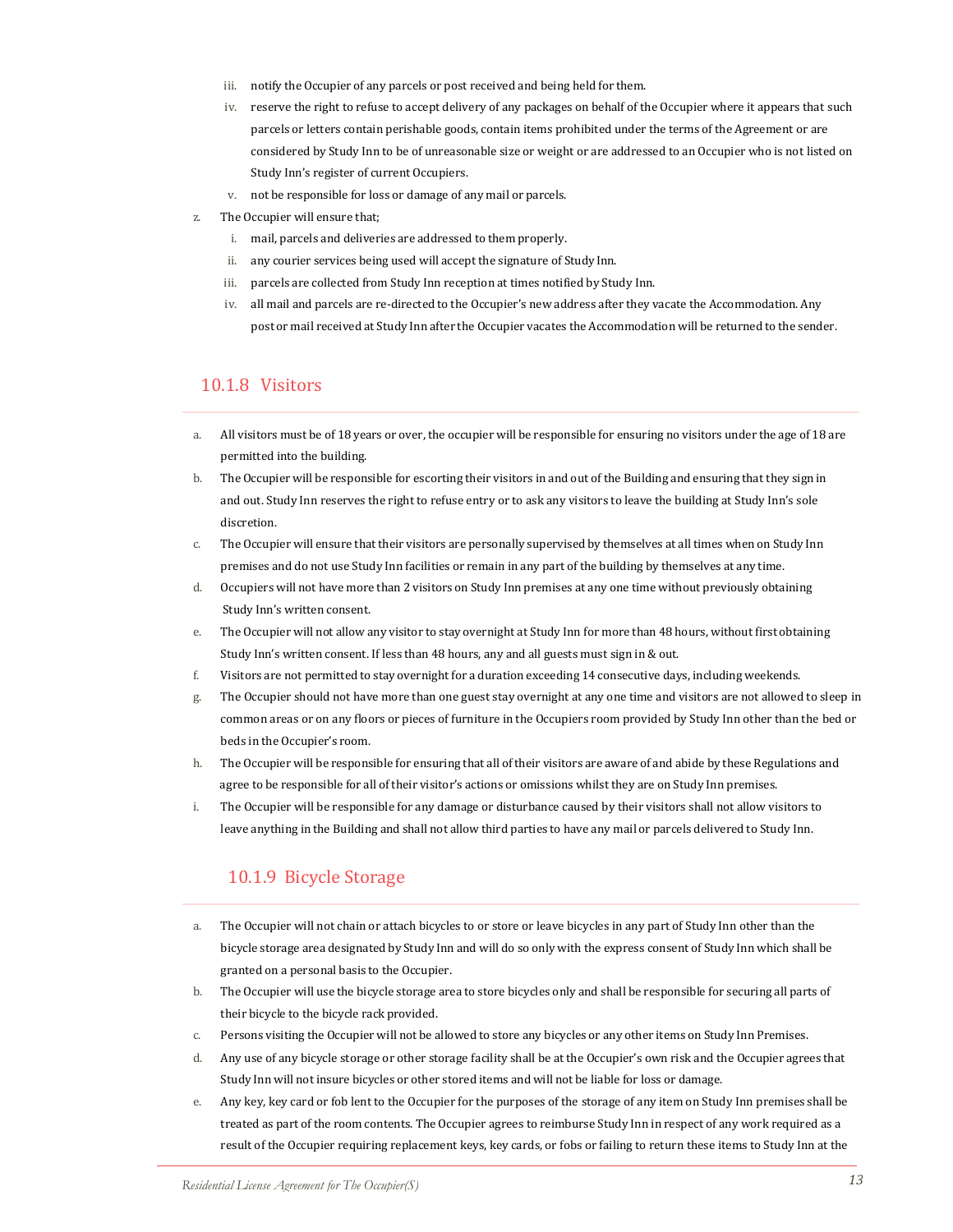- iii. notify the Occupier of any parcels or post received and being held for them.
- iv. reserve the right to refuse to accept delivery of any packages on behalf of the Occupier where it appears that such parcels or letters contain perishable goods, contain items prohibited under the terms of the Agreement or are considered by Study Inn to be of unreasonable size or weight or are addressed to an Occupier who is not listed on Study Inn's register of current Occupiers.
- v. not be responsible for loss or damage of any mail or parcels.
- The Occupier will ensure that;
	- i. mail, parcels and deliveries are addressed to them properly.
	- ii. any courier services being used will accept the signature of Study Inn.
	- iii. parcels are collected from Study Inn reception at times notified by Study Inn.
	- iv. all mail and parcels are re-directed to the Occupier's new address after they vacate the Accommodation. Any post or mail received at Study Inn after the Occupier vacates the Accommodation will be returned to the sender.

#### 10.1.8 Visitors

- a. All visitors must be of 18 years or over, the occupier will be responsible for ensuring no visitors under the age of 18 are permitted into the building.
- b. The Occupier will be responsible for escorting their visitors in and out of the Building and ensuring that they sign in and out. Study Inn reserves the right to refuse entry or to ask any visitors to leave the building at Study Inn's sole discretion.
- c. The Occupier will ensure that their visitors are personally supervised by themselves at all times when on Study Inn premises and do not use Study Inn facilities or remain in any part of the building by themselves at any time.
- d. Occupiers will not have more than 2 visitors on Study Inn premises at any one time without previously obtaining Study Inn's written consent.
- e. The Occupier will not allow any visitor to stay overnight at Study Inn for more than 48 hours, without first obtaining Study Inn's written consent. If less than 48 hours, any and all guests must sign in & out.
- f. Visitors are not permitted to stay overnight for a duration exceeding 14 consecutive days, including weekends.
- g. The Occupier should not have more than one guest stay overnight at any one time and visitors are not allowed to sleep in common areas or on any floors or pieces of furniture in the Occupiers room provided by Study Inn other than the bed or beds in the Occupier's room.
- h. The Occupier will be responsible for ensuring that all of their visitors are aware of and abide by these Regulations and agree to be responsible for all of their visitor's actions or omissions whilst they are on Study Inn premises.
- i. The Occupier will be responsible for any damage or disturbance caused by their visitors shall not allow visitors to leave anything in the Building and shall not allow third parties to have any mail or parcels delivered to Study Inn.

#### 10.1.9 Bicycle Storage

- a. The Occupier will not chain or attach bicycles to or store or leave bicycles in any part of Study Inn other than the bicycle storage area designated by Study Inn and will do so only with the express consent of Study Inn which shall be granted on a personal basis to the Occupier.
- b. The Occupier will use the bicycle storage area to store bicycles only and shall be responsible for securing all parts of their bicycle to the bicycle rack provided.
- c. Persons visiting the Occupier will not be allowed to store any bicycles or any other items on Study Inn Premises.
- d. Any use of any bicycle storage or other storage facility shall be at the Occupier's own risk and the Occupier agrees that Study Inn will not insure bicycles or other stored items and will not be liable for loss or damage.
- e. Any key, key card or fob lent to the Occupier for the purposes of the storage of any item on Study Inn premises shall be treated as part of the room contents. The Occupier agrees to reimburse Study Inn in respect of any work required as a result of the Occupier requiring replacement keys, key cards, or fobs or failing to return these items to Study Inn at the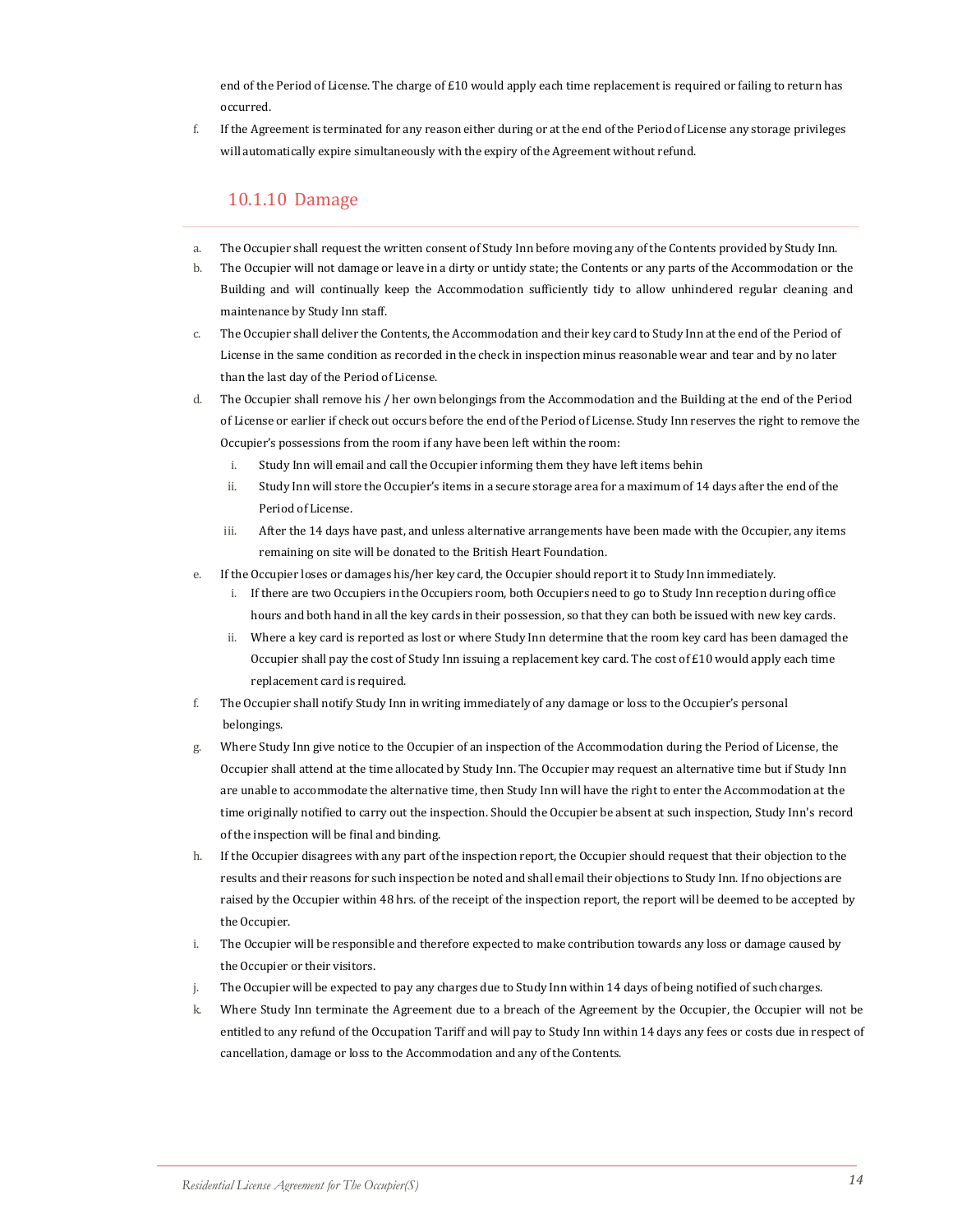end of the Period of License. The charge of £10 would apply each time replacement is required or failing to return has occurred.

f. If the Agreement is terminated for any reason either during or at the end of the Period of License any storage privileges will automatically expire simultaneously with the expiry of the Agreement without refund.

#### 10.1.10 Damage

- a. The Occupier shall request the written consent of Study Inn before moving any of the Contents provided by Study Inn.
- b. The Occupier will not damage or leave in a dirty or untidy state; the Contents or any parts of the Accommodation or the Building and will continually keep the Accommodation sufficiently tidy to allow unhindered regular cleaning and maintenance by Study Inn staff.
- c. The Occupier shall deliver the Contents, the Accommodation and their key card to Study Inn at the end of the Period of License in the same condition as recorded in the check in inspection minus reasonable wear and tear and by no later than the last day of the Period of License.
- d. The Occupier shall remove his / her own belongings from the Accommodation and the Building at the end of the Period of License or earlier if check out occurs before the end of the Period of License. Study Inn reserves the right to remove the Occupier's possessions from the room if any have been left within the room:
	- i. Study Inn will email and call the Occupier informing them they have left items behin
	- ii. Study Inn will store the Occupier's items in a secure storage area for a maximum of 14 days after the end of the Period of License.
	- iii. After the 14 days have past, and unless alternative arrangements have been made with the Occupier, any items remaining on site will be donated to the British Heart Foundation.
- e. If the Occupier loses or damages his/her key card, the Occupier should report it to Study Inn immediately.
	- i. If there are two Occupiers in the Occupiers room, both Occupiers need to go to Study Inn reception during office hours and both hand in all the key cards in their possession, so that they can both be issued with new key cards.
	- ii. Where a key card is reported as lost or where Study Inn determine that the room key card has been damaged the Occupier shall pay the cost of Study Inn issuing a replacement key card. The cost of £10 would apply each time replacement card is required.
- f. The Occupier shall notify Study Inn in writing immediately of any damage or loss to the Occupier's personal belongings.
- g. Where Study Inn give notice to the Occupier of an inspection of the Accommodation during the Period of License, the Occupier shall attend at the time allocated by Study Inn. The Occupier may request an alternative time but if Study Inn are unable to accommodate the alternative time, then Study Inn will have the right to enter the Accommodation at the time originally notified to carry out the inspection. Should the Occupier be absent at such inspection, Study Inn's record of the inspection will be final and binding.
- h. If the Occupier disagrees with any part of the inspection report, the Occupier should request that their objection to the results and their reasons for such inspection be noted and shall email their objections to Study Inn. If no objections are raised by the Occupier within 48 hrs. of the receipt of the inspection report, the report will be deemed to be accepted by the Occupier.
- i. The Occupier will be responsible and therefore expected to make contribution towards any loss or damage caused by the Occupier or their visitors.
- j. The Occupier will be expected to pay any charges due to Study Inn within 14 days of being notified of such charges.
- k. Where Study Inn terminate the Agreement due to a breach of the Agreement by the Occupier, the Occupier will not be entitled to any refund of the Occupation Tariff and will pay to Study Inn within 14 days any fees or costs due in respect of cancellation, damage or loss to the Accommodation and any of the Contents.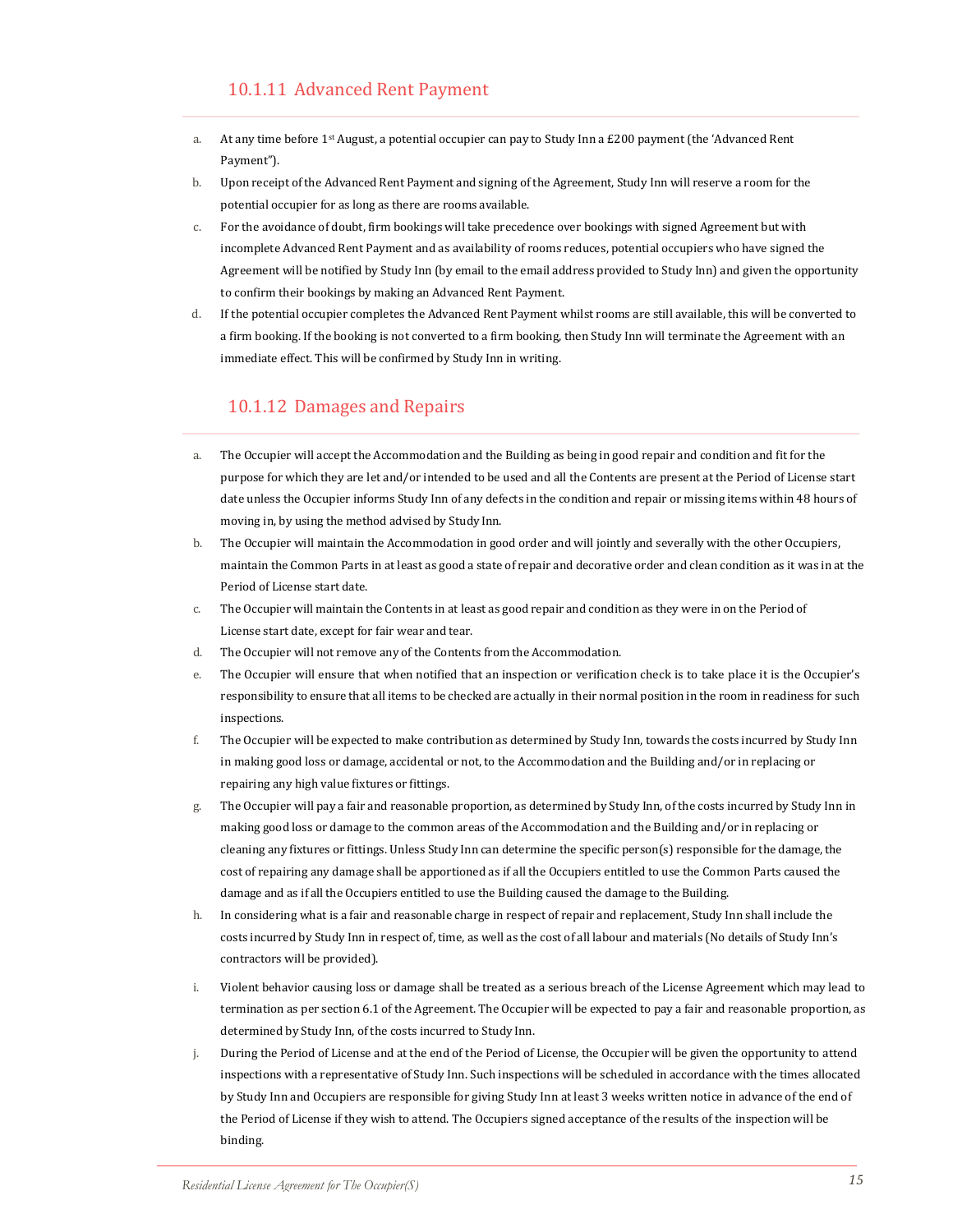- a. At any time before 1st August, a potential occupier can pay to Study Inn a £200 payment (the 'Advanced Rent Payment").
- b. Upon receipt of the Advanced Rent Payment and signing of the Agreement, Study Inn will reserve a room for the potential occupier for as long as there are rooms available.
- c. For the avoidance of doubt, firm bookings will take precedence over bookings with signed Agreement but with incomplete Advanced Rent Payment and as availability of rooms reduces, potential occupiers who have signed the Agreement will be notified by Study Inn (by email to the email address provided to Study Inn) and given the opportunity to confirm their bookings by making an Advanced Rent Payment.
- d. If the potential occupier completes the Advanced Rent Payment whilst rooms are still available, this will be converted to a firm booking. If the booking is not converted to a firm booking, then Study Inn will terminate the Agreement with an immediate effect. This will be confirmed by Study Inn in writing.

#### 10.1.12 Damages and Repairs

- a. The Occupier will accept the Accommodation and the Building as being in good repair and condition and fit for the purpose for which they are let and/or intended to be used and all the Contents are present at the Period of License start date unless the Occupier informs Study Inn of any defects in the condition and repair or missing items within 48 hours of moving in, by using the method advised by Study Inn.
- b. The Occupier will maintain the Accommodation in good order and will jointly and severally with the other Occupiers, maintain the Common Parts in at least as good a state of repair and decorative order and clean condition as it was in at the Period of License start date.
- c. The Occupier will maintain the Contents in at least as good repair and condition as they were in on the Period of License start date, except for fair wear and tear.
- d. The Occupier will not remove any of the Contents from the Accommodation.
- e. The Occupier will ensure that when notified that an inspection or verification check is to take place it is the Occupier's responsibility to ensure that all items to be checked are actually in their normal position in the room in readiness for such inspections.
- f. The Occupier will be expected to make contribution as determined by Study Inn, towards the costs incurred by Study Inn in making good loss or damage, accidental or not, to the Accommodation and the Building and/or in replacing or repairing any high value fixtures or fittings.
- g. The Occupier will pay a fair and reasonable proportion, as determined by Study Inn, of the costs incurred by Study Inn in making good loss or damage to the common areas of the Accommodation and the Building and/or in replacing or cleaning any fixtures or fittings. Unless Study Inn can determine the specific person(s) responsible for the damage, the cost of repairing any damage shall be apportioned as if all the Occupiers entitled to use the Common Parts caused the damage and as if all the Occupiers entitled to use the Building caused the damage to theBuilding.
- h. In considering what is a fair and reasonable charge in respect of repair and replacement, Study Inn shall include the costs incurred by Study Inn in respect of, time, as well as the cost of all labour and materials (No details of Study Inn's contractors will be provided).
- i. Violent behavior causing loss or damage shall be treated as a serious breach of the License Agreement which may lead to termination as per section 6.1 of the Agreement. The Occupier will be expected to pay a fair and reasonable proportion, as determined by Study Inn, of the costs incurred to Study Inn.
- j. During the Period of License and at the end of the Period of License, the Occupier will be given the opportunity to attend inspections with a representative of Study Inn. Such inspections will be scheduled in accordance with the times allocated by Study Inn and Occupiers are responsible for giving Study Inn at least 3 weeks written notice in advance of the end of the Period of License if they wish to attend. The Occupiers signed acceptance of the results of the inspection will be binding.